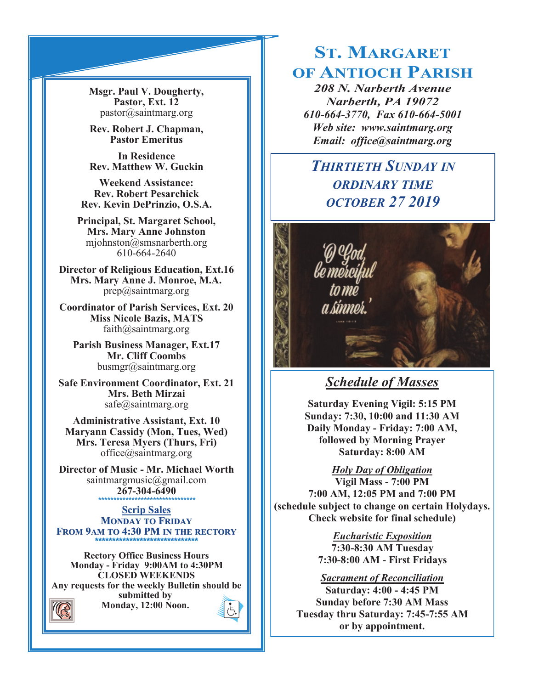**Msgr. Paul V. Dougherty, Pastor, Ext. 12** pastor@saintmarg.org

**Rev. Robert J. Chapman, Pastor Emeritus**

**In Residence Rev. Matthew W. Guckin**

**Weekend Assistance: Rev. Robert Pesarchick Rev. Kevin DePrinzio, O.S.A.**

**Principal, St. Margaret School, Mrs. Mary Anne Johnston**  mjohnston@smsnarberth.org 610-664-2640

**Director of Religious Education, Ext.16 Mrs. Mary Anne J. Monroe, M.A.** prep@saintmarg.org

**Coordinator of Parish Services, Ext. 20 Miss Nicole Bazis, MATS** faith@saintmarg.org

**Parish Business Manager, Ext.17 Mr. Cliff Coombs** busmgr@saintmarg.org

**Safe Environment Coordinator, Ext. 21 Mrs. Beth Mirzai** safe@saintmarg.org

**Administrative Assistant, Ext. 10 Maryann Cassidy (Mon, Tues, Wed) Mrs. Teresa Myers (Thurs, Fri)** office@saintmarg.org

**Director of Music - Mr. Michael Worth** saintmargmusic@gmail.com **267-304-6490** *\*\*\*\*\*\*\*\*\*\*\*\*\*\*\*\*\*\*\*\*\*\*\*\*\*\*\*\*\*\*\*\**

**Scrip Sales MONDAY TO FRIDAY FROM 9AM TO 4:30 PM IN THE RECTORY \*\*\*\*\*\*\*\*\*\*\*\*\*\*\*\*\*\*\*\*\*\*\*\*\*\*\*\*\*\*** 

**Rectory Office Business Hours Monday - Friday 9:00AM to 4:30PM CLOSED WEEKENDS Any requests for the weekly Bulletin should be submitted by Monday, 12:00 Noon.** 

# **ST. MARGARET OF ANTIOCH PARISH**

*208 N. Narberth Avenue Narberth, PA 19072 610-664-3770, Fax 610-664-5001 Web site: www.saintmarg.org Email: office@saintmarg.org*

## *THIRTIETH SUNDAY IN ORDINARY TIME OCTOBER 27 2019*



## *Schedule of Masses*

**Saturday Evening Vigil: 5:15 PM Sunday: 7:30, 10:00 and 11:30 AM Daily Monday - Friday: 7:00 AM, followed by Morning Prayer Saturday: 8:00 AM**

*Holy Day of Obligation*

**Vigil Mass - 7:00 PM 7:00 AM, 12:05 PM and 7:00 PM (schedule subject to change on certain Holydays. Check website for final schedule)**

> *Eucharistic Exposition*  **7:30-8:30 AM Tuesday 7:30-8:00 AM - First Fridays**

## *Sacrament of Reconciliation*

**Saturday: 4:00 - 4:45 PM Sunday before 7:30 AM Mass Tuesday thru Saturday: 7:45-7:55 AM or by appointment.**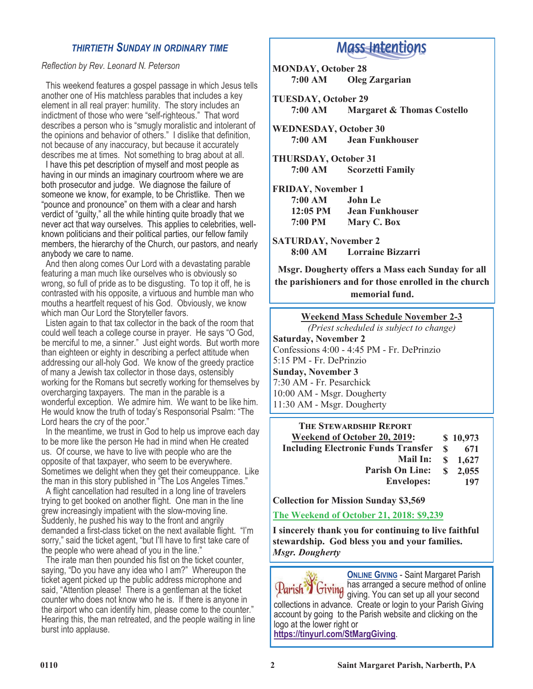## *THIRTIETH SUNDAY IN ORDINARY TIME*

#### *Reflection by Rev. Leonard N. Peterson*

 This weekend features a gospel passage in which Jesus tells another one of His matchless parables that includes a key element in all real prayer: humility. The story includes an indictment of those who were "self-righteous." That word describes a person who is "smugly moralistic and intolerant of the opinions and behavior of others." I dislike that definition, not because of any inaccuracy, but because it accurately describes me at times. Not something to brag about at all.

 I have this pet description of myself and most people as having in our minds an imaginary courtroom where we are both prosecutor and judge. We diagnose the failure of someone we know, for example, to be Christlike. Then we "pounce and pronounce" on them with a clear and harsh verdict of "guilty," all the while hinting quite broadly that we never act that way ourselves. This applies to celebrities, wellknown politicians and their political parties, our fellow family members, the hierarchy of the Church, our pastors, and nearly anybody we care to name.

 And then along comes Our Lord with a devastating parable featuring a man much like ourselves who is obviously so wrong, so full of pride as to be disgusting. To top it off, he is contrasted with his opposite, a virtuous and humble man who mouths a heartfelt request of his God. Obviously, we know which man Our Lord the Storyteller favors.

 Listen again to that tax collector in the back of the room that could well teach a college course in prayer. He says "O God, be merciful to me, a sinner." Just eight words. But worth more than eighteen or eighty in describing a perfect attitude when addressing our all-holy God. We know of the greedy practice of many a Jewish tax collector in those days, ostensibly working for the Romans but secretly working for themselves by overcharging taxpayers. The man in the parable is a wonderful exception. We admire him. We want to be like him. He would know the truth of today's Responsorial Psalm: "The Lord hears the cry of the poor."

 In the meantime, we trust in God to help us improve each day to be more like the person He had in mind when He created us. Of course, we have to live with people who are the opposite of that taxpayer, who seem to be everywhere. Sometimes we delight when they get their comeuppance. Like the man in this story published in "The Los Angeles Times."

 A flight cancellation had resulted in a long line of travelers trying to get booked on another flight. One man in the line grew increasingly impatient with the slow-moving line. Suddenly, he pushed his way to the front and angrily demanded a first-class ticket on the next available flight. "I'm sorry," said the ticket agent, "but I'll have to first take care of the people who were ahead of you in the line."

 The irate man then pounded his fist on the ticket counter, saying, "Do you have any idea who I am?" Whereupon the ticket agent picked up the public address microphone and said, "Attention please! There is a gentleman at the ticket counter who does not know who he is. If there is anyone in the airport who can identify him, please come to the counter." Hearing this, the man retreated, and the people waiting in line burst into applause.

## **Mass Intentions**

**MONDAY, October 28 7:00 AM Oleg Zargarian**

**TUESDAY, October 29 7:00 AM Margaret & Thomas Costello**

**WEDNESDAY, October 30 7:00 AM Jean Funkhouser**

**THURSDAY, October 31 7:00 AM Scorzetti Family**

**FRIDAY, November 1 7:00 AM John Le 12:05 PM Jean Funkhouser 7:00 PM Mary C. Box**

**SATURDAY, November 2 8:00 AM Lorraine Bizzarri**

**Msgr. Dougherty offers a Mass each Sunday for all the parishioners and for those enrolled in the church memorial fund.**

| <b>THE STEWARDSHIP REPORT</b>              |    |          |
|--------------------------------------------|----|----------|
| <b>Weekend of October 20, 2019:</b>        |    | \$10,973 |
| <b>Including Electronic Funds Transfer</b> | S  | 671      |
| Mail In:                                   |    | \$1,627  |
| <b>Parish On Line:</b>                     | S. | 2,055    |
| <b>Envelopes:</b>                          |    | 197      |

**Collection for Mission Sunday \$3,569**

**The Weekend of October 21, 2018: \$9,239**

**I sincerely thank you for continuing to live faithful stewardship. God bless you and your families.** *Msgr. Dougherty*

**ONLINE GIVING** - Saint Margaret Parish<br>has arranged a secure method of online has arranged a secure method of online giving. You can set up all your second collections in advance. Create or login to your Parish Giving account by going to the Parish website and clicking on the logo at the lower right or **<https://tinyurl.com/StMargGiving>**.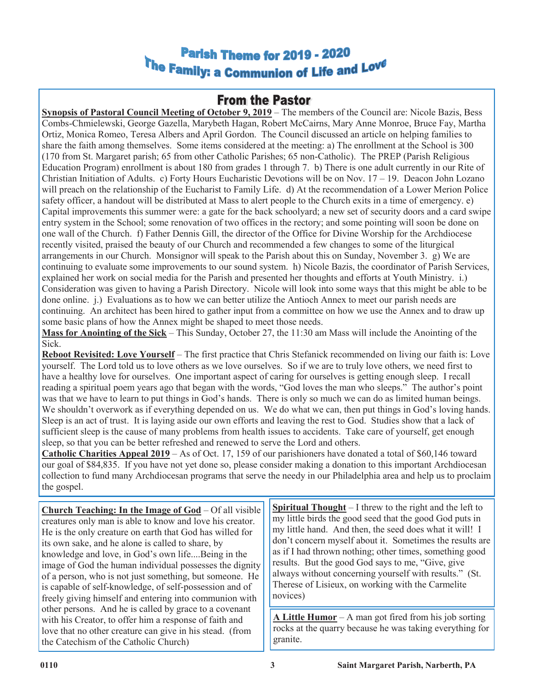## Parish Theme for 2019 - 2020 The Family: a Communion of Life and Love

## **From the Pastor**

**Synopsis of Pastoral Council Meeting of October 9, 2019** – The members of the Council are: Nicole Bazis, Bess Combs-Chmielewski, George Gazella, Marybeth Hagan, Robert McCairns, Mary Anne Monroe, Bruce Fay, Martha Ortiz, Monica Romeo, Teresa Albers and April Gordon. The Council discussed an article on helping families to share the faith among themselves. Some items considered at the meeting: a) The enrollment at the School is 300 (170 from St. Margaret parish; 65 from other Catholic Parishes; 65 non-Catholic). The PREP (Parish Religious Education Program) enrollment is about 180 from grades 1 through 7. b) There is one adult currently in our Rite of Christian Initiation of Adults. c) Forty Hours Eucharistic Devotions will be on Nov.  $17 - 19$ . Deacon John Lozano will preach on the relationship of the Eucharist to Family Life. d) At the recommendation of a Lower Merion Police safety officer, a handout will be distributed at Mass to alert people to the Church exits in a time of emergency. e) Capital improvements this summer were: a gate for the back schoolyard; a new set of security doors and a card swipe entry system in the School; some renovation of two offices in the rectory; and some pointing will soon be done on one wall of the Church. f) Father Dennis Gill, the director of the Office for Divine Worship for the Archdiocese recently visited, praised the beauty of our Church and recommended a few changes to some of the liturgical arrangements in our Church. Monsignor will speak to the Parish about this on Sunday, November 3. g) We are continuing to evaluate some improvements to our sound system. h) Nicole Bazis, the coordinator of Parish Services, explained her work on social media for the Parish and presented her thoughts and efforts at Youth Ministry. i.) Consideration was given to having a Parish Directory. Nicole will look into some ways that this might be able to be done online. j.) Evaluations as to how we can better utilize the Antioch Annex to meet our parish needs are continuing. An architect has been hired to gather input from a committee on how we use the Annex and to draw up some basic plans of how the Annex might be shaped to meet those needs.

**Mass for Anointing of the Sick** – This Sunday, October 27, the 11:30 am Mass will include the Anointing of the Sick.

**Reboot Revisited: Love Yourself** – The first practice that Chris Stefanick recommended on living our faith is: Love yourself. The Lord told us to love others as we love ourselves. So if we are to truly love others, we need first to have a healthy love for ourselves. One important aspect of caring for ourselves is getting enough sleep. I recall reading a spiritual poem years ago that began with the words, "God loves the man who sleeps." The author's point was that we have to learn to put things in God's hands. There is only so much we can do as limited human beings. We shouldn't overwork as if everything depended on us. We do what we can, then put things in God's loving hands. Sleep is an act of trust. It is laying aside our own efforts and leaving the rest to God. Studies show that a lack of sufficient sleep is the cause of many problems from health issues to accidents. Take care of yourself, get enough sleep, so that you can be better refreshed and renewed to serve the Lord and others.

**Catholic Charities Appeal 2019** – As of Oct. 17, 159 of our parishioners have donated a total of \$60,146 toward our goal of \$84,835. If you have not yet done so, please consider making a donation to this important Archdiocesan collection to fund many Archdiocesan programs that serve the needy in our Philadelphia area and help us to proclaim the gospel.

**Church Teaching: In the Image of God** – Of all visible creatures only man is able to know and love his creator. He is the only creature on earth that God has willed for its own sake, and he alone is called to share, by knowledge and love, in God's own life....Being in the image of God the human individual possesses the dignity of a person, who is not just something, but someone. He is capable of self-knowledge, of self-possession and of freely giving himself and entering into communion with other persons. And he is called by grace to a covenant with his Creator, to offer him a response of faith and love that no other creature can give in his stead. (from the Catechism of the Catholic Church)

**Spiritual Thought** – I threw to the right and the left to my little birds the good seed that the good God puts in my little hand. And then, the seed does what it will! I don't concern myself about it. Sometimes the results are as if I had thrown nothing; other times, something good results. But the good God says to me, "Give, give always without concerning yourself with results." (St. Therese of Lisieux, on working with the Carmelite novices)

**A Little Humor** – A man got fired from his job sorting rocks at the quarry because he was taking everything for granite.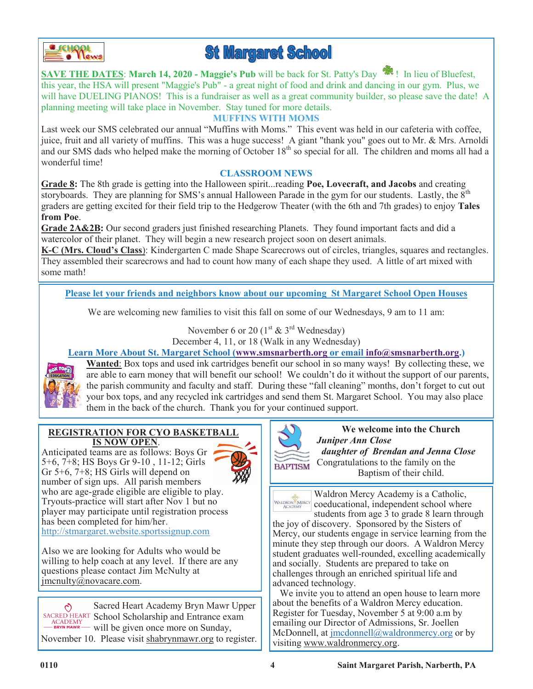

# **St Margaret School**

**SAVE THE DATES**: **March 14, 2020 - Maggie's Pub** will be back for St. Patty's Day ! In lieu of Bluefest, this year, the HSA will present "Maggie's Pub" - a great night of food and drink and dancing in our gym. Plus, we will have DUELING PIANOS! This is a fundraiser as well as a great community builder, so please save the date! A planning meeting will take place in November. Stay tuned for more details.

## **MUFFINS WITH MOMS**

Last week our SMS celebrated our annual "Muffins with Moms." This event was held in our cafeteria with coffee, juice, fruit and all variety of muffins. This was a huge success! A giant "thank you" goes out to Mr. & Mrs. Arnoldi and our SMS dads who helped make the morning of October 18<sup>th</sup> so special for all. The children and moms all had a wonderful time!

## **CLASSROOM NEWS**

**Grade 8:** The 8th grade is getting into the Halloween spirit...reading **Poe, Lovecraft, and Jacobs** and creating storyboards. They are planning for SMS's annual Halloween Parade in the gym for our students. Lastly, the 8<sup>th</sup> graders are getting excited for their field trip to the Hedgerow Theater (with the 6th and 7th grades) to enjoy **Tales from Poe**.

**Grade 2A&2B:** Our second graders just finished researching Planets. They found important facts and did a watercolor of their planet. They will begin a new research project soon on desert animals.

**K-C (Mrs. Cloud's Class**): Kindergarten C made Shape Scarecrows out of circles, triangles, squares and rectangles. They assembled their scarecrows and had to count how many of each shape they used. A little of art mixed with some math!

**Please let your friends and neighbors know about our upcoming St Margaret School Open Houses**

We are welcoming new families to visit this fall on some of our Wednesdays, 9 am to 11 am:

November 6 or 20  $(1<sup>st</sup> \& 3<sup>rd</sup> Wednesday)$ December 4, 11, or 18 (Walk in any Wednesday)

## **[Learn More About St. Margaret School](https://forms.gle/odTP2Ck1i9PN6wLd6) ([www.smsnarberth.org](http://www.smsnarberth.org) or email [info@smsnarberth.org.](mailto:info@smsnarberth.org))**



**Wanted**: Box tops and used ink cartridges benefit our school in so many ways! By collecting these, we are able to earn money that will benefit our school! We couldn't do it without the support of our parents, the parish community and faculty and staff. During these "fall cleaning" months, don't forget to cut out your box tops, and any recycled ink cartridges and send them St. Margaret School. You may also place them in the back of the church. Thank you for your continued support.

**BAPTISM** 

#### **REGISTRATION FOR CYO BASKETBALL IS NOW OPEN**.

Anticipated teams are as follows: Boys Gr 5+6, 7+8; HS Boys Gr 9-10 , 11-12; Girls Gr 5+6, 7+8; HS Girls will depend on number of sign ups. All parish members who are age-grade eligible are eligible to play. Tryouts-practice will start after Nov 1 but no player may participate until registration process has been completed for him/her. [http://stmargaret.website.sportssignup.com](http://stmargaret.website.sportssignup.com/)



**We welcome into the Church**  *Juniper Ann Close daughter of Brendan and Jenna Close* Congratulations to the family on the Baptism of their child.

Waldron Mercy Academy is a Catholic, WALDRON MERC coeducational, independent school where

students from age 3 to grade 8 learn through the joy of discovery. Sponsored by the Sisters of Mercy, our students engage in service learning from the minute they step through our doors. A Waldron Mercy student graduates well-rounded, excelling academically and socially. Students are prepared to take on challenges through an enriched spiritual life and advanced technology.

 We invite you to attend an open house to learn more about the benefits of a Waldron Mercy education. Register for Tuesday, November 5 at 9:00 a.m by emailing our Director of Admissions, Sr. Joellen McDonnell, at [jmcdonnell@waldronmercy.org](mailto:jmcdonnell@waldronmercy.org) or by visiting www.waldronmercy.org.

Also we are looking for Adults who would be willing to help coach at any level. If there are any questions please contact Jim McNulty at  $imcrutv(\bar{a})$ novacare.com.

Sacred Heart Academy Bryn Mawr Upper SACRED HEART School Scholarship and Entrance exam ACADEMY will be given once more on Sunday, November 10. Please visit shabrynmawr.org to register.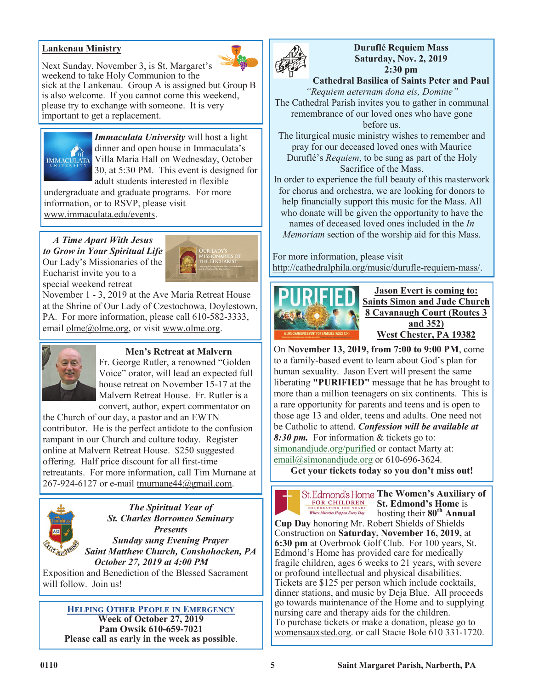## **Lankenau Ministry**



Next Sunday, November 3, is St. Margaret's weekend to take Holy Communion to the sick at the Lankenau. Group A is assigned but Group B is also welcome. If you cannot come this weekend, please try to exchange with someone. It is very important to get a replacement.



*Immaculata University* will host a light dinner and open house in Immaculata's Villa Maria Hall on Wednesday, October 30, at 5:30 PM. This event is designed for adult students interested in flexible

undergraduate and graduate programs. For more information, or to RSVP, please visit www.immaculata.edu/events.

*A Time Apart With Jesus to Grow in Your Spiritual Life* Our Lady's Missionaries of the Eucharist invite you to a special weekend retreat



November 1 - 3, 2019 at the Ave Maria Retreat House at the Shrine of Our Lady of Czestochowa, Doylestown, PA. For more information, please call 610-582-3333, email olme@olme.org, or visit www.olme.org.



## **Men's Retreat at Malvern**

Fr. George Rutler, a renowned "Golden Voice" orator, will lead an expected full house retreat on November 15-17 at the Malvern Retreat House. Fr. Rutler is a convert, author, expert commentator on

the Church of our day, a pastor and an EWTN contributor. He is the perfect antidote to the confusion rampant in our Church and culture today. Register online at Malvern Retreat House. \$250 suggested offering. Half price discount for all first-time retreatants. For more information, call Tim Murnane at 267-924-6127 or e-mail tmurnane44@gmail.com.



*The Spiritual Year of St. Charles Borromeo Seminary Presents Sunday sung Evening Prayer Saint Matthew Church, Conshohocken, PA*

*October 27, 2019 at 4:00 PM*

Exposition and Benediction of the Blessed Sacrament will follow. Join us!

**HELPING OTHER PEOPLE IN EMERGENCY Week of October 27, 2019 Pam Owsik 610-659-7021 Please call as early in the week as possible**.



**Duruflé Requiem Mass Saturday, Nov. 2, 2019 2:30 pm**

**Cathedral Basilica of Saints Peter and Paul** *"Requiem aeternam dona eis, Domine"*

The Cathedral Parish invites you to gather in communal remembrance of our loved ones who have gone before us.

The liturgical music ministry wishes to remember and pray for our deceased loved ones with Maurice Duruflé's *Requiem*, to be sung as part of the Holy Sacrifice of the Mass.

In order to experience the full beauty of this masterwork for chorus and orchestra, we are looking for donors to help financially support this music for the Mass. All who donate will be given the opportunity to have the names of deceased loved ones included in the *In Memoriam* section of the worship aid for this Mass.

For more information, please visit http://cathedralphila.org/music/durufle-requiem-mass/.



**Jason Evert is coming to: Saints Simon and Jude Church 8 Cavanaugh Court (Routes 3 and 352) West Chester, PA 19382**

On **November 13, 2019, from 7:00 to 9:00 PM**, come to a family-based event to learn about God's plan for human sexuality. Jason Evert will present the same liberating **"PURIFIED"** message that he has brought to more than a million teenagers on six continents. This is a rare opportunity for parents and teens and is open to those age 13 and older, teens and adults. One need not be Catholic to attend. *Confession will be available at 8:30 pm.* For information & tickets go to: simonandjude.org/purified or contact Marty at: email@simonandjude.org or 610-696-3624.

**Get your tickets today so you don't miss out!**



St. Edmond's Home The Women's Auxiliary of FOR CHILDREN **St. Edmond's Home** is ELEBRATING 100 YEARS:<br>Where Miracles Happen Every Day hosting their **80th Annual** 

**Cup Day** honoring Mr. Robert Shields of Shields Construction on **Saturday, November 16, 2019,** at **6:30 pm** at Overbrook Golf Club. For 100 years, St. Edmond's Home has provided care for medically fragile children, ages 6 weeks to 21 years, with severe or profound intellectual and physical disabilities. Tickets are \$125 per person which include cocktails, dinner stations, and music by Deja Blue. All proceeds go towards maintenance of the Home and to supplying nursing care and therapy aids for the children. To purchase tickets or make a donation, please go to womensauxsted.org. or call Stacie Bole 610 331-1720.